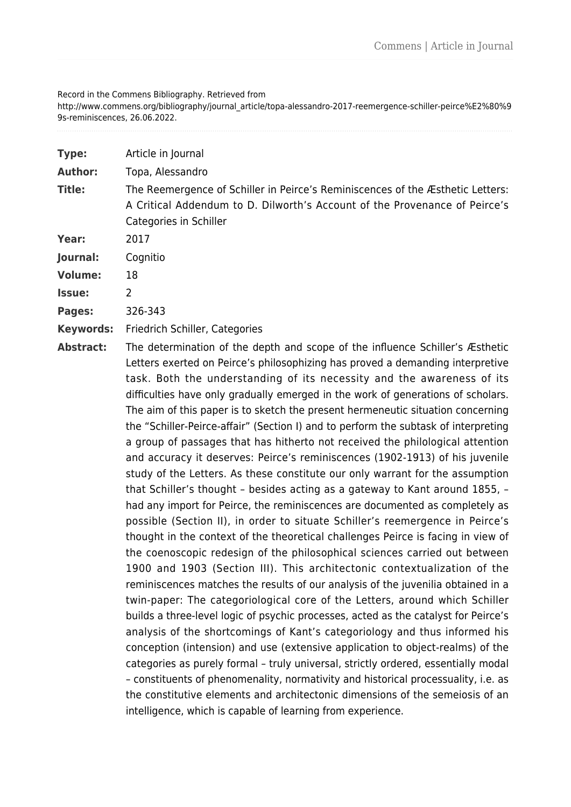## Record in the Commens Bibliography. Retrieved from

http://www.commens.org/bibliography/journal\_article/topa-alessandro-2017-reemergence-schiller-peirce%E2%80%9 9s-reminiscences, 26.06.2022.

| <b>Type:</b>     | Article in Journal                                                                                                                                                                                                                                                                                                                                                                                                                                                                                                                                                                                                                                                                                                                                                                                                                                                                                                                                                                                                                                                                                                                                                                                                                                                                                                                           |
|------------------|----------------------------------------------------------------------------------------------------------------------------------------------------------------------------------------------------------------------------------------------------------------------------------------------------------------------------------------------------------------------------------------------------------------------------------------------------------------------------------------------------------------------------------------------------------------------------------------------------------------------------------------------------------------------------------------------------------------------------------------------------------------------------------------------------------------------------------------------------------------------------------------------------------------------------------------------------------------------------------------------------------------------------------------------------------------------------------------------------------------------------------------------------------------------------------------------------------------------------------------------------------------------------------------------------------------------------------------------|
| <b>Author:</b>   | Topa, Alessandro                                                                                                                                                                                                                                                                                                                                                                                                                                                                                                                                                                                                                                                                                                                                                                                                                                                                                                                                                                                                                                                                                                                                                                                                                                                                                                                             |
| <b>Title:</b>    | The Reemergence of Schiller in Peirce's Reminiscences of the Æsthetic Letters:<br>A Critical Addendum to D. Dilworth's Account of the Provenance of Peirce's<br>Categories in Schiller                                                                                                                                                                                                                                                                                                                                                                                                                                                                                                                                                                                                                                                                                                                                                                                                                                                                                                                                                                                                                                                                                                                                                       |
| Year:            | 2017                                                                                                                                                                                                                                                                                                                                                                                                                                                                                                                                                                                                                                                                                                                                                                                                                                                                                                                                                                                                                                                                                                                                                                                                                                                                                                                                         |
| Journal:         | Cognitio                                                                                                                                                                                                                                                                                                                                                                                                                                                                                                                                                                                                                                                                                                                                                                                                                                                                                                                                                                                                                                                                                                                                                                                                                                                                                                                                     |
| <b>Volume:</b>   | 18                                                                                                                                                                                                                                                                                                                                                                                                                                                                                                                                                                                                                                                                                                                                                                                                                                                                                                                                                                                                                                                                                                                                                                                                                                                                                                                                           |
| Issue:           | $\overline{2}$                                                                                                                                                                                                                                                                                                                                                                                                                                                                                                                                                                                                                                                                                                                                                                                                                                                                                                                                                                                                                                                                                                                                                                                                                                                                                                                               |
| Pages:           | 326-343                                                                                                                                                                                                                                                                                                                                                                                                                                                                                                                                                                                                                                                                                                                                                                                                                                                                                                                                                                                                                                                                                                                                                                                                                                                                                                                                      |
| <b>Keywords:</b> | Friedrich Schiller, Categories                                                                                                                                                                                                                                                                                                                                                                                                                                                                                                                                                                                                                                                                                                                                                                                                                                                                                                                                                                                                                                                                                                                                                                                                                                                                                                               |
| <b>Abstract:</b> | The determination of the depth and scope of the influence Schiller's Æsthetic<br>Letters exerted on Peirce's philosophizing has proved a demanding interpretive<br>task. Both the understanding of its necessity and the awareness of its<br>difficulties have only gradually emerged in the work of generations of scholars.<br>The aim of this paper is to sketch the present hermeneutic situation concerning<br>the "Schiller-Peirce-affair" (Section I) and to perform the subtask of interpreting<br>a group of passages that has hitherto not received the philological attention<br>and accuracy it deserves: Peirce's reminiscences (1902-1913) of his juvenile<br>study of the Letters. As these constitute our only warrant for the assumption<br>that Schiller's thought - besides acting as a gateway to Kant around 1855, -<br>had any import for Peirce, the reminiscences are documented as completely as<br>possible (Section II), in order to situate Schiller's reemergence in Peirce's<br>thought in the context of the theoretical challenges Peirce is facing in view of<br>the coenoscopic redesign of the philosophical sciences carried out between<br>1900 and 1903 (Section III). This architectonic contextualization of the<br>reminiscences matches the results of our analysis of the juvenilia obtained in a |

twin-paper: The categoriological core of the Letters, around which Schiller builds a three-level logic of psychic processes, acted as the catalyst for Peirce's analysis of the shortcomings of Kant's categoriology and thus informed his conception (intension) and use (extensive application to object-realms) of the categories as purely formal – truly universal, strictly ordered, essentially modal – constituents of phenomenality, normativity and historical processuality, i.e. as the constitutive elements and architectonic dimensions of the semeiosis of an intelligence, which is capable of learning from experience.